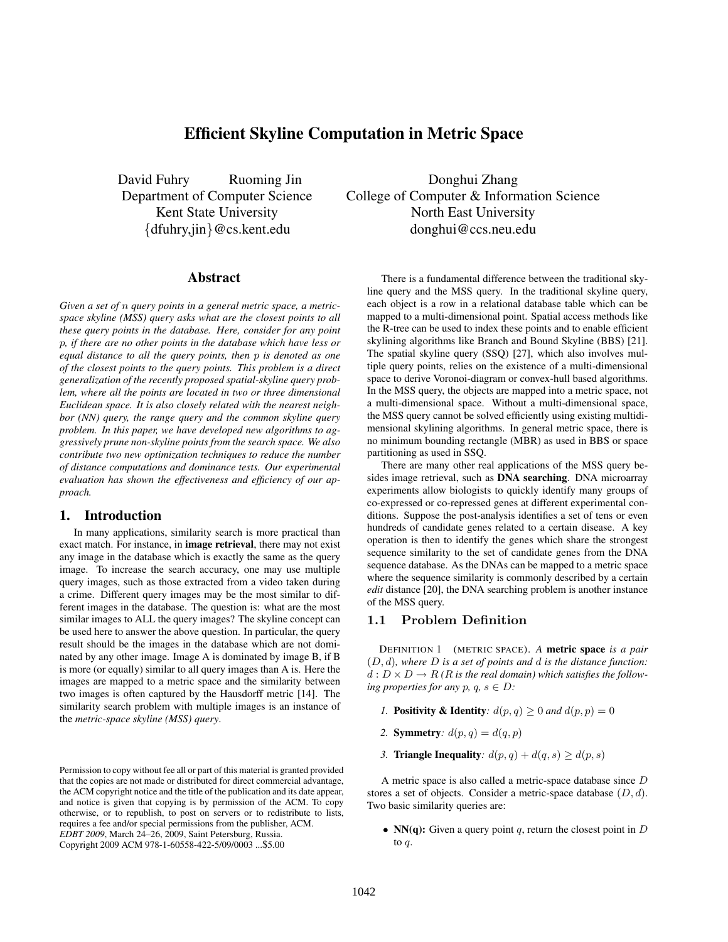# **Efficient Skyline Computation in Metric Space**

David Fuhry Ruoming Jin Department of Computer Science Kent State University {dfuhry,jin}@cs.kent.edu

### **Abstract**

*Given a set of* n *query points in a general metric space, a metricspace skyline (MSS) query asks what are the closest points to all these query points in the database. Here, consider for any point* p*, if there are no other points in the database which have less or equal distance to all the query points, then* p *is denoted as one of the closest points to the query points. This problem is a direct generalization of the recently proposed spatial-skyline query problem, where all the points are located in two or three dimensional Euclidean space. It is also closely related with the nearest neighbor (NN) query, the range query and the common skyline query problem. In this paper, we have developed new algorithms to aggressively prune non-skyline points from the search space. We also contribute two new optimization techniques to reduce the number of distance computations and dominance tests. Our experimental evaluation has shown the effectiveness and efficiency of our approach.*

### **1. Introduction**

In many applications, similarity search is more practical than exact match. For instance, in **image retrieval**, there may not exist any image in the database which is exactly the same as the query image. To increase the search accuracy, one may use multiple query images, such as those extracted from a video taken during a crime. Different query images may be the most similar to different images in the database. The question is: what are the most similar images to ALL the query images? The skyline concept can be used here to answer the above question. In particular, the query result should be the images in the database which are not dominated by any other image. Image A is dominated by image B, if B is more (or equally) similar to all query images than A is. Here the images are mapped to a metric space and the similarity between two images is often captured by the Hausdorff metric [14]. The similarity search problem with multiple images is an instance of the *metric-space skyline (MSS) query*.

Permission to copy without fee all or part of this material is granted provided that the copies are not made or distributed for direct commercial advantage, the ACM copyright notice and the title of the publication and its date appear, and notice is given that copying is by permission of the ACM. To copy otherwise, or to republish, to post on servers or to redistribute to lists, requires a fee and/or special permissions from the publisher, ACM. *EDBT 2009*, March 24–26, 2009, Saint Petersburg, Russia. Copyright 2009 ACM 978-1-60558-422-5/09/0003 ...\$5.00

Donghui Zhang College of Computer & Information Science North East University donghui@ccs.neu.edu

There is a fundamental difference between the traditional skyline query and the MSS query. In the traditional skyline query, each object is a row in a relational database table which can be mapped to a multi-dimensional point. Spatial access methods like the R-tree can be used to index these points and to enable efficient skylining algorithms like Branch and Bound Skyline (BBS) [21]. The spatial skyline query (SSQ) [27], which also involves multiple query points, relies on the existence of a multi-dimensional space to derive Voronoi-diagram or convex-hull based algorithms. In the MSS query, the objects are mapped into a metric space, not a multi-dimensional space. Without a multi-dimensional space, the MSS query cannot be solved efficiently using existing multidimensional skylining algorithms. In general metric space, there is no minimum bounding rectangle (MBR) as used in BBS or space partitioning as used in SSQ.

There are many other real applications of the MSS query besides image retrieval, such as **DNA searching**. DNA microarray experiments allow biologists to quickly identify many groups of co-expressed or co-repressed genes at different experimental conditions. Suppose the post-analysis identifies a set of tens or even hundreds of candidate genes related to a certain disease. A key operation is then to identify the genes which share the strongest sequence similarity to the set of candidate genes from the DNA sequence database. As the DNAs can be mapped to a metric space where the sequence similarity is commonly described by a certain *edit* distance [20], the DNA searching problem is another instance of the MSS query.

### 1.1 Problem Definition

DEFINITION 1 (METRIC SPACE). *A* **metric space** *is a pair* (D, d)*, where* D *is a set of points and* d *is the distance function:*  $d: D \times D \rightarrow R$  (*R* is the real domain) which satisfies the follow*ing properties for any*  $p, q, s \in D$ *:* 

- *1.* **Positivity & Identity***:*  $d(p, q) \ge 0$  *and*  $d(p, p) = 0$
- 2. **Symmetry***:*  $d(p,q) = d(q,p)$
- *3.* **Triangle Inequality***:*  $d(p, q) + d(q, s) \geq d(p, s)$

A metric space is also called a metric-space database since D stores a set of objects. Consider a metric-space database  $(D, d)$ . Two basic similarity queries are:

• **NN(q):** Given a query point q, return the closest point in  $D$ to q.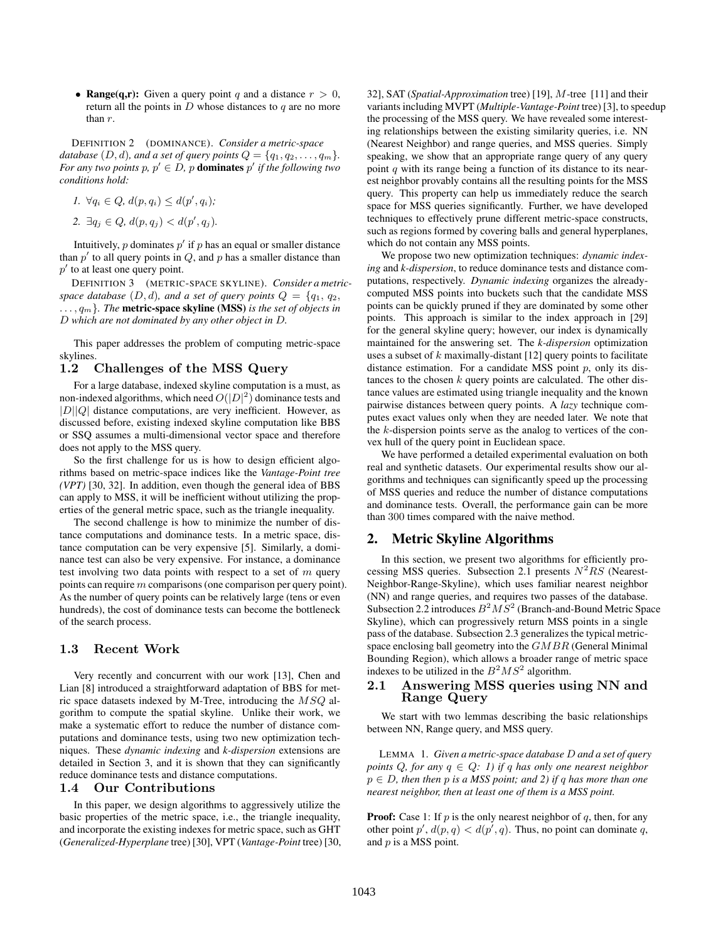• **Range(q,r):** Given a query point q and a distance  $r > 0$ , return all the points in  $D$  whose distances to  $q$  are no more than r.

DEFINITION 2 (DOMINANCE). *Consider a metric-space database*  $(D, d)$ *, and a set of query points*  $Q = \{q_1, q_2, \ldots, q_m\}$ *. For any two points*  $p, p' \in D$ , p **dominates** p' *if the following two conditions hold:*

$$
I. \ \ \forall q_i \in Q, \ d(p, q_i) \leq d(p', q_i);
$$

$$
2. \ \exists q_j \in Q, \, d(p,q_j) < d(p',q_j).
$$

Intuitively, p dominates  $p'$  if p has an equal or smaller distance than  $p'$  to all query points in  $Q$ , and p has a smaller distance than  $p'$  to at least one query point.

DEFINITION 3 (METRIC-SPACE SKYLINE). *Consider a metricspace database*  $(D, d)$ *, and a set of query points*  $Q = \{q_1, q_2,$ . . . , qm}*. The* **metric-space skyline (MSS)** *is the set of objects in* D *which are not dominated by any other object in* D*.*

This paper addresses the problem of computing metric-space skylines.

### 1.2 Challenges of the MSS Query

For a large database, indexed skyline computation is a must, as non-indexed algorithms, which need  $O(|D|^2)$  dominance tests and  $|D||Q|$  distance computations, are very inefficient. However, as discussed before, existing indexed skyline computation like BBS or SSQ assumes a multi-dimensional vector space and therefore does not apply to the MSS query.

So the first challenge for us is how to design efficient algorithms based on metric-space indices like the *Vantage-Point tree (VPT)* [30, 32]. In addition, even though the general idea of BBS can apply to MSS, it will be inefficient without utilizing the properties of the general metric space, such as the triangle inequality.

The second challenge is how to minimize the number of distance computations and dominance tests. In a metric space, distance computation can be very expensive [5]. Similarly, a dominance test can also be very expensive. For instance, a dominance test involving two data points with respect to a set of  $m$  query points can require m comparisons (one comparison per query point). As the number of query points can be relatively large (tens or even hundreds), the cost of dominance tests can become the bottleneck of the search process.

### 1.3 Recent Work

Very recently and concurrent with our work [13], Chen and Lian [8] introduced a straightforward adaptation of BBS for metric space datasets indexed by M-Tree, introducing the  $MSQ$  algorithm to compute the spatial skyline. Unlike their work, we make a systematic effort to reduce the number of distance computations and dominance tests, using two new optimization techniques. These *dynamic indexing* and *k-dispersion* extensions are detailed in Section 3, and it is shown that they can significantly reduce dominance tests and distance computations.

### 1.4 Our Contributions

In this paper, we design algorithms to aggressively utilize the basic properties of the metric space, i.e., the triangle inequality, and incorporate the existing indexes for metric space, such as GHT (*Generalized-Hyperplane* tree) [30], VPT (*Vantage-Point* tree) [30, 32], SAT (*Spatial-Approximation* tree) [19], M-tree [11] and their variants including MVPT (*Multiple-Vantage-Point* tree) [3], to speedup the processing of the MSS query. We have revealed some interesting relationships between the existing similarity queries, i.e. NN (Nearest Neighbor) and range queries, and MSS queries. Simply speaking, we show that an appropriate range query of any query point  $q$  with its range being a function of its distance to its nearest neighbor provably contains all the resulting points for the MSS query. This property can help us immediately reduce the search space for MSS queries significantly. Further, we have developed techniques to effectively prune different metric-space constructs, such as regions formed by covering balls and general hyperplanes, which do not contain any MSS points.

We propose two new optimization techniques: *dynamic indexing* and *k-dispersion*, to reduce dominance tests and distance computations, respectively. *Dynamic indexing* organizes the alreadycomputed MSS points into buckets such that the candidate MSS points can be quickly pruned if they are dominated by some other points. This approach is similar to the index approach in [29] for the general skyline query; however, our index is dynamically maintained for the answering set. The *k-dispersion* optimization uses a subset of  $k$  maximally-distant [12] query points to facilitate distance estimation. For a candidate MSS point  $p$ , only its distances to the chosen  $k$  query points are calculated. The other distance values are estimated using triangle inequality and the known pairwise distances between query points. A *lazy* technique computes exact values only when they are needed later. We note that the k-dispersion points serve as the analog to vertices of the convex hull of the query point in Euclidean space.

We have performed a detailed experimental evaluation on both real and synthetic datasets. Our experimental results show our algorithms and techniques can significantly speed up the processing of MSS queries and reduce the number of distance computations and dominance tests. Overall, the performance gain can be more than 300 times compared with the naive method.

### **2. Metric Skyline Algorithms**

In this section, we present two algorithms for efficiently processing MSS queries. Subsection 2.1 presents  $N^2RS$  (Nearest-Neighbor-Range-Skyline), which uses familiar nearest neighbor (NN) and range queries, and requires two passes of the database. Subsection 2.2 introduces  $B^2MS^2$  (Branch-and-Bound Metric Space Skyline), which can progressively return MSS points in a single pass of the database. Subsection 2.3 generalizes the typical metricspace enclosing ball geometry into the GMBR (General Minimal Bounding Region), which allows a broader range of metric space indexes to be utilized in the  $B^2MS^2$  algorithm.

### 2.1 Answering MSS queries using NN and Range Query

We start with two lemmas describing the basic relationships between NN, Range query, and MSS query.

LEMMA 1. *Given a metric-space database* D *and a set of query points*  $Q$ *, for any*  $q \in Q$ *: 1) if*  $q$  *has only one nearest neighbor* p ∈ D*, then then* p *is a MSS point; and 2) if* q *has more than one nearest neighbor, then at least one of them is a MSS point.*

**Proof:** Case 1: If  $p$  is the only nearest neighbor of  $q$ , then, for any other point  $p'$ ,  $d(p, q) < d(p', q)$ . Thus, no point can dominate q, and p is a MSS point.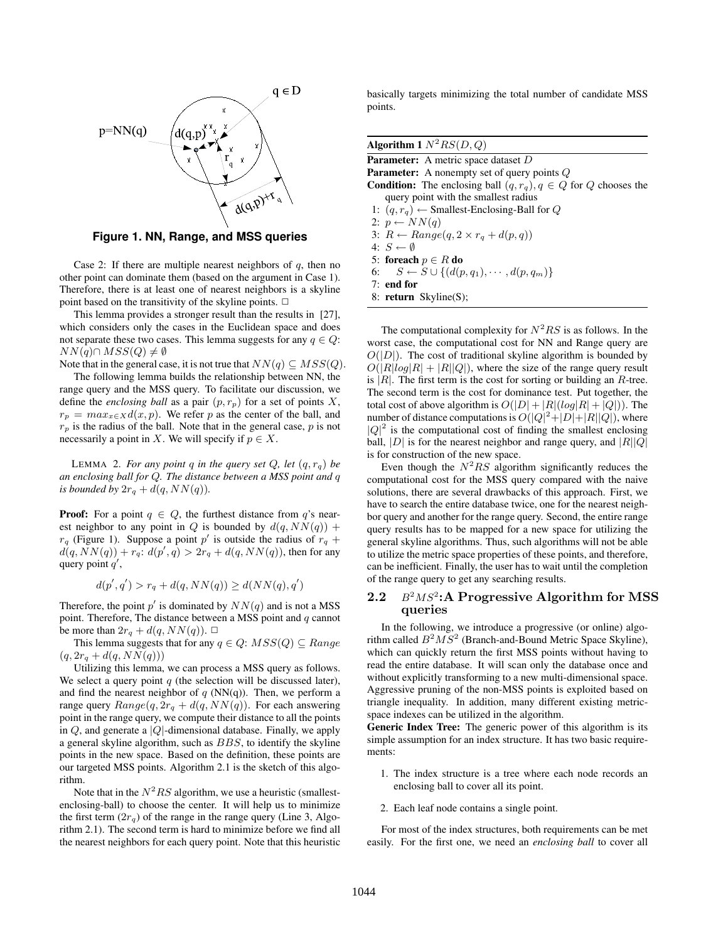

**Figure 1. NN, Range, and MSS queries**

Case 2: If there are multiple nearest neighbors of  $q$ , then no other point can dominate them (based on the argument in Case 1). Therefore, there is at least one of nearest neighbors is a skyline point based on the transitivity of the skyline points.  $\Box$ 

This lemma provides a stronger result than the results in [27], which considers only the cases in the Euclidean space and does not separate these two cases. This lemma suggests for any  $q \in Q$ :  $NN(q) \cap MSS(Q) \neq \emptyset$ 

Note that in the general case, it is not true that  $NN(q) \subseteq MSS(Q)$ .

The following lemma builds the relationship between NN, the range query and the MSS query. To facilitate our discussion, we define the *enclosing ball* as a pair  $(p, r_p)$  for a set of points X,  $r_p = max_{x \in X} d(x, p)$ . We refer p as the center of the ball, and  $r_p$  is the radius of the ball. Note that in the general case,  $p$  is not necessarily a point in X. We will specify if  $p \in X$ .

LEMMA 2. For any point  $q$  in the query set  $Q$ , let  $(q, r_q)$  be *an enclosing ball for* Q*. The distance between a MSS point and* q *is bounded by*  $2r_q + d(q, NN(q))$ *.* 

**Proof:** For a point  $q \in Q$ , the furthest distance from q's nearest neighbor to any point in Q is bounded by  $d(q, NN(q))$  +  $r_q$  (Figure 1). Suppose a point p' is outside the radius of  $r_q$  +  $d(q, NN(q)) + r_q: d(p', q) > 2r_q + d(q, NN(q))$ , then for any query point  $q'$ ,

$$
d(p', q') > r_q + d(q, NN(q)) \ge d(NN(q), q')
$$

Therefore, the point  $p'$  is dominated by  $NN(q)$  and is not a MSS point. Therefore, The distance between a MSS point and q cannot be more than  $2r_q + d(q, NN(q))$ .  $\Box$ 

This lemma suggests that for any  $q \in Q$ :  $MSS(Q) \subseteq Range$  $(q, 2r_q + d(q, NN(q)))$ 

Utilizing this lemma, we can process a MSS query as follows. We select a query point  $q$  (the selection will be discussed later), and find the nearest neighbor of  $q$  (NN(q)). Then, we perform a range query  $Range(q, 2r_q + d(q, NN(q))$ . For each answering point in the range query, we compute their distance to all the points in  $Q$ , and generate a | $Q$ |-dimensional database. Finally, we apply a general skyline algorithm, such as BBS, to identify the skyline points in the new space. Based on the definition, these points are our targeted MSS points. Algorithm 2.1 is the sketch of this algorithm.

Note that in the  $N^2RS$  algorithm, we use a heuristic (smallestenclosing-ball) to choose the center. It will help us to minimize the first term  $(2r_q)$  of the range in the range query (Line 3, Algorithm 2.1). The second term is hard to minimize before we find all the nearest neighbors for each query point. Note that this heuristic

basically targets minimizing the total number of candidate MSS points.

| Algorithm 1 $N^2RS(D,Q)$                                                      |
|-------------------------------------------------------------------------------|
| <b>Parameter:</b> A metric space dataset $D$                                  |
| <b>Parameter:</b> A nonempty set of query points $Q$                          |
| <b>Condition:</b> The enclosing ball $(q, r_q)$ , $q \in Q$ for Q chooses the |
| query point with the smallest radius                                          |
| 1: $(q, r_a) \leftarrow$ Smallest-Enclosing-Ball for Q                        |
| 2: $p \leftarrow NN(q)$                                                       |
| 3: $R \leftarrow Range(q, 2 \times r_q + d(p, q))$                            |
| 4: $S \leftarrow \emptyset$                                                   |
| 5: foreach $p \in R$ do                                                       |
| 6: $S \leftarrow S \cup \{(d(p,q_1), \cdots, d(p,q_m)\}\$                     |
| $7:$ end for                                                                  |
| 8: return $Skyline(S)$ ;                                                      |

The computational complexity for  $N^2RS$  is as follows. In the worst case, the computational cost for NN and Range query are  $O(|D|)$ . The cost of traditional skyline algorithm is bounded by  $O(|R|log|R| + |R||Q|)$ , where the size of the range query result is  $|R|$ . The first term is the cost for sorting or building an R-tree. The second term is the cost for dominance test. Put together, the total cost of above algorithm is  $O(|D| + |R|(\log|R| + |Q|))$ . The number of distance computations is  $O(|Q|^2 + |D| + |R||Q|)$ , where  $|Q|^2$  is the computational cost of finding the smallest enclosing ball, |D| is for the nearest neighbor and range query, and  $|R||Q|$ is for construction of the new space.

Even though the  $N^2RS$  algorithm significantly reduces the computational cost for the MSS query compared with the naive solutions, there are several drawbacks of this approach. First, we have to search the entire database twice, one for the nearest neighbor query and another for the range query. Second, the entire range query results has to be mapped for a new space for utilizing the general skyline algorithms. Thus, such algorithms will not be able to utilize the metric space properties of these points, and therefore, can be inefficient. Finally, the user has to wait until the completion of the range query to get any searching results.

#### $2.2$  $^{2}MS^{2}$ :A Progressive Algorithm for MSS queries

In the following, we introduce a progressive (or online) algorithm called  $B^2MS^2$  (Branch-and-Bound Metric Space Skyline), which can quickly return the first MSS points without having to read the entire database. It will scan only the database once and without explicitly transforming to a new multi-dimensional space. Aggressive pruning of the non-MSS points is exploited based on triangle inequality. In addition, many different existing metricspace indexes can be utilized in the algorithm.

**Generic Index Tree:** The generic power of this algorithm is its simple assumption for an index structure. It has two basic requirements:

- 1. The index structure is a tree where each node records an enclosing ball to cover all its point.
- 2. Each leaf node contains a single point.

For most of the index structures, both requirements can be met easily. For the first one, we need an *enclosing ball* to cover all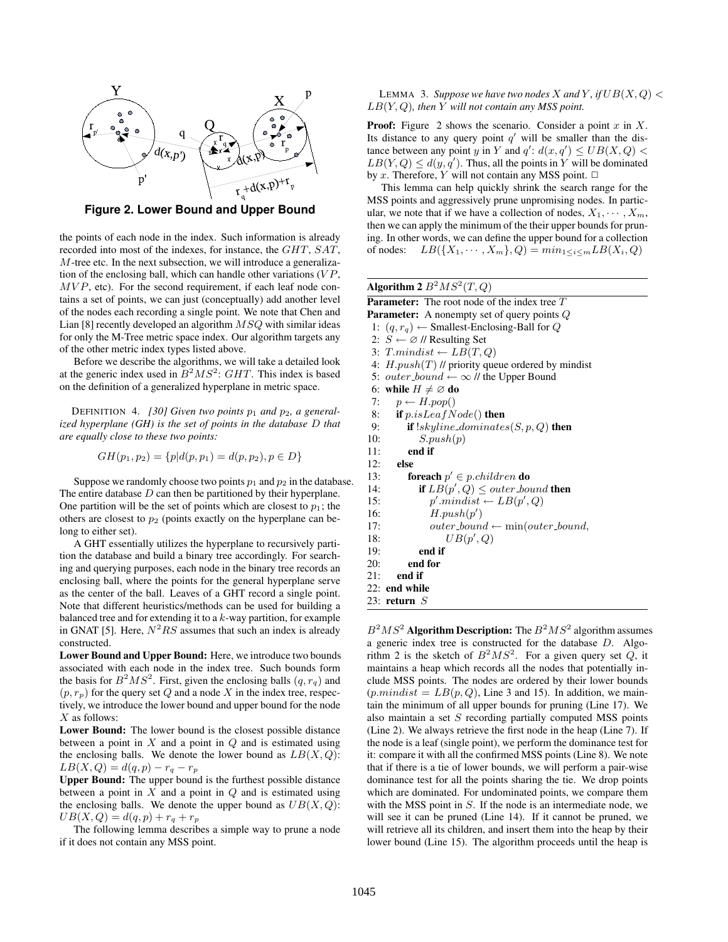

**Figure 2. Lower Bound and Upper Bound**

the points of each node in the index. Such information is already recorded into most of the indexes, for instance, the GHT, SAT, M-tree etc. In the next subsection, we will introduce a generalization of the enclosing ball, which can handle other variations  $(VP,$  $MVP$ , etc). For the second requirement, if each leaf node contains a set of points, we can just (conceptually) add another level of the nodes each recording a single point. We note that Chen and Lian [8] recently developed an algorithm  $MSQ$  with similar ideas for only the M-Tree metric space index. Our algorithm targets any of the other metric index types listed above.

Before we describe the algorithms, we will take a detailed look at the generic index used in  $B^2MS^2$ :  $GHT$ . This index is based on the definition of a generalized hyperplane in metric space.

DEFINITION 4. [30] Given two points  $p_1$  and  $p_2$ , a general*ized hyperplane (GH) is the set of points in the database* D *that are equally close to these two points:*

$$
GH(p_1, p_2) = \{p | d(p, p_1) = d(p, p_2), p \in D\}
$$

Suppose we randomly choose two points  $p_1$  and  $p_2$  in the database. The entire database D can then be partitioned by their hyperplane. One partition will be the set of points which are closest to  $p_1$ ; the others are closest to  $p_2$  (points exactly on the hyperplane can belong to either set).

A GHT essentially utilizes the hyperplane to recursively partition the database and build a binary tree accordingly. For searching and querying purposes, each node in the binary tree records an enclosing ball, where the points for the general hyperplane serve as the center of the ball. Leaves of a GHT record a single point. Note that different heuristics/methods can be used for building a balanced tree and for extending it to a  $k$ -way partition, for example in GNAT [5]. Here,  $N^2RS$  assumes that such an index is already constructed.

**Lower Bound and Upper Bound:** Here, we introduce two bounds associated with each node in the index tree. Such bounds form the basis for  $B^2MS^2$ . First, given the enclosing balls  $(q, r_q)$  and  $(p, r_p)$  for the query set Q and a node X in the index tree, respectively, we introduce the lower bound and upper bound for the node  $X$  as follows:

**Lower Bound:** The lower bound is the closest possible distance between a point in  $X$  and a point in  $Q$  and is estimated using the enclosing balls. We denote the lower bound as  $LB(X, Q)$ :  $LB(X, Q) = d(q, p) - r_q - r_p$ 

**Upper Bound:** The upper bound is the furthest possible distance between a point in  $X$  and a point in  $Q$  and is estimated using the enclosing balls. We denote the upper bound as  $UB(X, Q)$ :  $UB(X, Q) = d(q, p) + r_q + r_p$ 

The following lemma describes a simple way to prune a node if it does not contain any MSS point.

LEMMA 3. Suppose we have two nodes X and Y, if  $UB(X, Q)$  < LB(Y, Q)*, then* Y *will not contain any MSS point.*

**Proof:** Figure 2 shows the scenario. Consider a point  $x$  in  $X$ . Its distance to any query point  $q'$  will be smaller than the distance between any point y in Y and  $q' : d(x, q') \leq UB(X, Q)$  $LB(Y,Q) \leq d(y,q')$ . Thus, all the points in Y will be dominated by x. Therefore, Y will not contain any MSS point.  $\Box$ 

This lemma can help quickly shrink the search range for the MSS points and aggressively prune unpromising nodes. In particular, we note that if we have a collection of nodes,  $X_1, \dots, X_m$ , then we can apply the minimum of the their upper bounds for pruning. In other words, we can define the upper bound for a collection of nodes:  $LB({X_1, \cdots, X_m}, Q) = min_{1 \le i \le m} LB(X_i, Q)$ 

**Algorithm 2**  $B^2MS^2(T,Q)$ 

**Parameter:** The root node of the index tree T

| <b>Parameter:</b> The root houe of the muex tree $T$         |  |  |  |  |  |  |  |
|--------------------------------------------------------------|--|--|--|--|--|--|--|
| <b>Parameter:</b> A nonempty set of query points $Q$         |  |  |  |  |  |  |  |
| 1: $(q, r_q) \leftarrow$ Smallest-Enclosing-Ball for Q       |  |  |  |  |  |  |  |
| 2: $S \leftarrow \emptyset$ // Resulting Set                 |  |  |  |  |  |  |  |
| 3: T.mindist $\leftarrow$ LB(T, Q)                           |  |  |  |  |  |  |  |
| 4: $H.push(T)$ // priority queue ordered by mindist          |  |  |  |  |  |  |  |
| 5: outer_bound $\leftarrow \infty$ // the Upper Bound        |  |  |  |  |  |  |  |
| 6: while $H \neq \emptyset$ do                               |  |  |  |  |  |  |  |
| 7: $p \leftarrow H.pop()$                                    |  |  |  |  |  |  |  |
| 8: if $p.isLeafNode()$ then                                  |  |  |  |  |  |  |  |
| if $lskyline\_dominates(S, p, Q)$ then<br>9:                 |  |  |  |  |  |  |  |
| 10:<br>S.push(p)                                             |  |  |  |  |  |  |  |
| end if<br>11:                                                |  |  |  |  |  |  |  |
| else<br>12:                                                  |  |  |  |  |  |  |  |
| <b>foreach</b> $p' \in p$ . <i>children</i> <b>do</b><br>13: |  |  |  |  |  |  |  |
| if $LB(p', Q) \leq outer\_{bound}$ then<br>14:               |  |  |  |  |  |  |  |
| $p'.mindist \leftarrow LB(p', Q)$<br>15:                     |  |  |  |  |  |  |  |
| 16:<br>H.push(p')                                            |  |  |  |  |  |  |  |
| 17:<br>$outer\_{bound} \leftarrow min(outr\_{bound},$        |  |  |  |  |  |  |  |
| UB(p', Q)<br>18:                                             |  |  |  |  |  |  |  |
| 19:<br>end if                                                |  |  |  |  |  |  |  |
| 20:<br>end for                                               |  |  |  |  |  |  |  |
| 21:<br>end if                                                |  |  |  |  |  |  |  |
| 22: end while                                                |  |  |  |  |  |  |  |
| 23: $return S$                                               |  |  |  |  |  |  |  |
|                                                              |  |  |  |  |  |  |  |

 $B^2MS^2$  **Algorithm Description:** The  $B^2MS^2$  algorithm assumes a generic index tree is constructed for the database D. Algorithm 2 is the sketch of  $B^2MS^2$ . For a given query set Q, it maintains a heap which records all the nodes that potentially include MSS points. The nodes are ordered by their lower bounds  $(p.mindist = LB(p,Q))$ , Line 3 and 15). In addition, we maintain the minimum of all upper bounds for pruning (Line 17). We also maintain a set  $S$  recording partially computed MSS points (Line 2). We always retrieve the first node in the heap (Line 7). If the node is a leaf (single point), we perform the dominance test for it: compare it with all the confirmed MSS points (Line 8). We note that if there is a tie of lower bounds, we will perform a pair-wise dominance test for all the points sharing the tie. We drop points which are dominated. For undominated points, we compare them with the MSS point in  $S$ . If the node is an intermediate node, we will see it can be pruned (Line 14). If it cannot be pruned, we will retrieve all its children, and insert them into the heap by their lower bound (Line 15). The algorithm proceeds until the heap is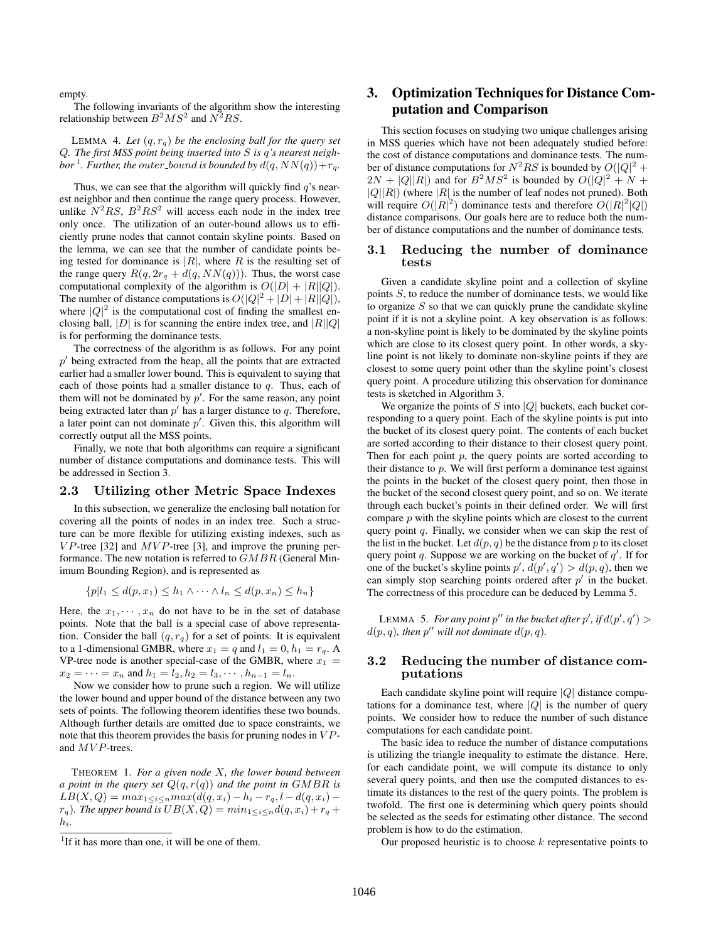empty.

The following invariants of the algorithm show the interesting relationship between  $B^2MS^2$  and  $N^2RS$ .

LEMMA 4. Let  $(q, r_q)$  be the enclosing ball for the query set Q*. The first MSS point being inserted into* S *is* q*'s nearest neigh*bor <sup>1</sup>. Further, the outer\_bound is bounded by  $d(q, NN(q)) + r_q$ .

Thus, we can see that the algorithm will quickly find  $q$ 's nearest neighbor and then continue the range query process. However, unlike  $N^2RS$ ,  $B^2RS^2$  will access each node in the index tree only once. The utilization of an outer-bound allows us to efficiently prune nodes that cannot contain skyline points. Based on the lemma, we can see that the number of candidate points being tested for dominance is  $|R|$ , where  $R$  is the resulting set of the range query  $R(q, 2r_q + d(q, NN(q)))$ . Thus, the worst case computational complexity of the algorithm is  $O(|D| + |R||Q|)$ . The number of distance computations is  $O(|Q|^2 + |D| + |R||Q|)$ , where  $|Q|^2$  is the computational cost of finding the smallest enclosing ball, |D| is for scanning the entire index tree, and  $|R||Q|$ is for performing the dominance tests.

The correctness of the algorithm is as follows. For any point  $p'$  being extracted from the heap, all the points that are extracted earlier had a smaller lower bound. This is equivalent to saying that each of those points had a smaller distance to  $q$ . Thus, each of them will not be dominated by  $p'$ . For the same reason, any point being extracted later than  $p'$  has a larger distance to q. Therefore, a later point can not dominate  $p'$ . Given this, this algorithm will correctly output all the MSS points.

Finally, we note that both algorithms can require a significant number of distance computations and dominance tests. This will be addressed in Section 3.

#### 2.3 Utilizing other Metric Space Indexes

In this subsection, we generalize the enclosing ball notation for covering all the points of nodes in an index tree. Such a structure can be more flexible for utilizing existing indexes, such as  $VP$ -tree [32] and  $MVP$ -tree [3], and improve the pruning performance. The new notation is referred to  $GMBR$  (General Minimum Bounding Region), and is represented as

 ${p|l_1 \leq d(p, x_1) \leq h_1 \land \cdots \land l_n \leq d(p, x_n) \leq h_n}$ 

Here, the  $x_1, \dots, x_n$  do not have to be in the set of database points. Note that the ball is a special case of above representation. Consider the ball  $(q, r_q)$  for a set of points. It is equivalent to a 1-dimensional GMBR, where  $x_1 = q$  and  $l_1 = 0, h_1 = r_q$ . A VP-tree node is another special-case of the GMBR, where  $x_1 =$  $x_2 = \cdots = x_n$  and  $h_1 = l_2, h_2 = l_3, \cdots, h_{n-1} = l_n$ .

Now we consider how to prune such a region. We will utilize the lower bound and upper bound of the distance between any two sets of points. The following theorem identifies these two bounds. Although further details are omitted due to space constraints, we note that this theorem provides the basis for pruning nodes in  $VP$ and  $MVP$ -trees.

THEOREM 1. *For a given node* X*, the lower bound between a point in the query set*  $Q(q, r(q))$  *and the point in GMBR is*  $LB(X, Q) = max_{1 \le i \le n} max(d(q, x_i) - h_i - r_q, l - d(q, x_i)$  $r_q$ ). The upper bound is  $UB(X,Q) = min_{1 \leq i \leq n} d(q, x_i) + r_q +$ hi*.*

# **3. Optimization Techniques for Distance Computation and Comparison**

This section focuses on studying two unique challenges arising in MSS queries which have not been adequately studied before: the cost of distance computations and dominance tests. The number of distance computations for  $N^2RS$  is bounded by  $O(|Q|^2 +$  $2N + |Q||R|$ ) and for  $B^2MS^2$  is bounded by  $O(|Q|^2 + N +$  $|Q||R|$ ) (where  $|R|$  is the number of leaf nodes not pruned). Both will require  $O(|R|^2)$  dominance tests and therefore  $O(|R|^2|Q|)$ distance comparisons. Our goals here are to reduce both the number of distance computations and the number of dominance tests.

#### 3.1 Reducing the number of dominance tests

Given a candidate skyline point and a collection of skyline points  $S$ , to reduce the number of dominance tests, we would like to organize  $S$  so that we can quickly prune the candidate skyline point if it is not a skyline point. A key observation is as follows: a non-skyline point is likely to be dominated by the skyline points which are close to its closest query point. In other words, a skyline point is not likely to dominate non-skyline points if they are closest to some query point other than the skyline point's closest query point. A procedure utilizing this observation for dominance tests is sketched in Algorithm 3.

We organize the points of  $S$  into  $|Q|$  buckets, each bucket corresponding to a query point. Each of the skyline points is put into the bucket of its closest query point. The contents of each bucket are sorted according to their distance to their closest query point. Then for each point  $p$ , the query points are sorted according to their distance to  $p$ . We will first perform a dominance test against the points in the bucket of the closest query point, then those in the bucket of the second closest query point, and so on. We iterate through each bucket's points in their defined order. We will first compare  $p$  with the skyline points which are closest to the current query point  $q$ . Finally, we consider when we can skip the rest of the list in the bucket. Let  $d(p, q)$  be the distance from p to its closet query point q. Suppose we are working on the bucket of  $q'$ . If for one of the bucket's skyline points  $p'$ ,  $d(p', q') > d(p, q)$ , then we can simply stop searching points ordered after  $p'$  in the bucket. The correctness of this procedure can be deduced by Lemma 5.

LEMMA 5. For any point  $p''$  in the bucket after  $p'$ , if  $d(p', q') >$  $d(p, q)$ , then  $p''$  will not dominate  $d(p, q)$ .

### 3.2 Reducing the number of distance computations

Each candidate skyline point will require  $|Q|$  distance computations for a dominance test, where  $|Q|$  is the number of query points. We consider how to reduce the number of such distance computations for each candidate point.

The basic idea to reduce the number of distance computations is utilizing the triangle inequality to estimate the distance. Here, for each candidate point, we will compute its distance to only several query points, and then use the computed distances to estimate its distances to the rest of the query points. The problem is twofold. The first one is determining which query points should be selected as the seeds for estimating other distance. The second problem is how to do the estimation.

Our proposed heuristic is to choose  $k$  representative points to

<sup>&</sup>lt;sup>1</sup>If it has more than one, it will be one of them.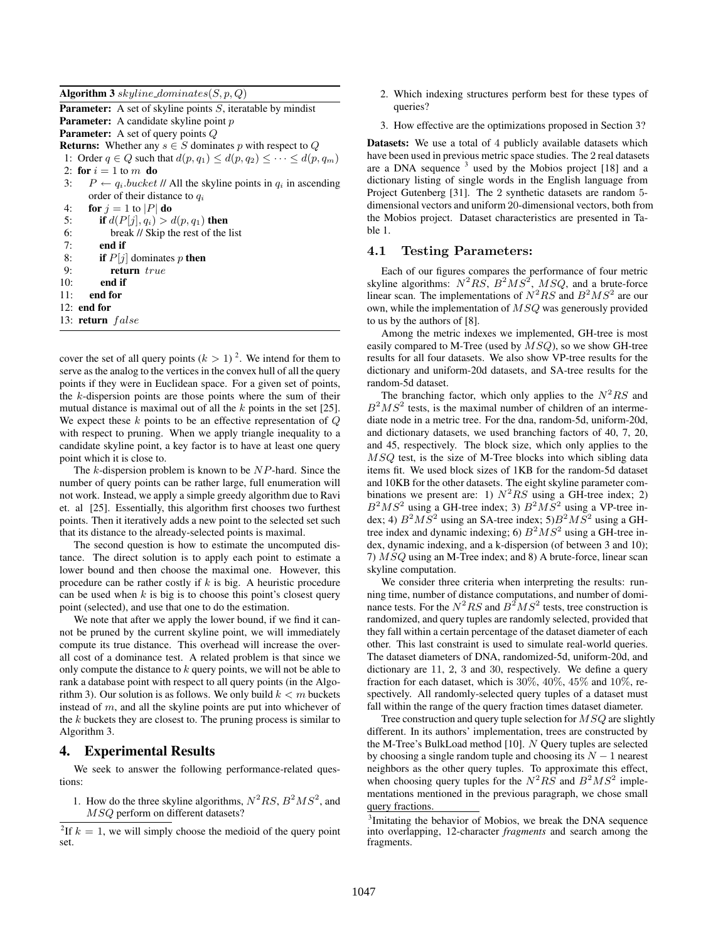|               | <b>Algorithm 3</b> skyline_dominates( $S, p, Q$ )                                  |
|---------------|------------------------------------------------------------------------------------|
|               | <b>Parameter:</b> A set of skyline points $S$ , iteratable by mindist              |
|               | <b>Parameter:</b> A candidate skyline point p                                      |
|               | <b>Parameter:</b> A set of query points $Q$                                        |
|               | <b>Returns:</b> Whether any $s \in S$ dominates p with respect to Q                |
|               | 1: Order $q \in Q$ such that $d(p, q_1) \leq d(p, q_2) \leq \cdots \leq d(p, q_m)$ |
|               | 2: for $i \equiv 1$ to m do                                                        |
| 3:            | $P \leftarrow q_i.buckets$ // All the skyline points in $q_i$ in ascending         |
|               | order of their distance to $q_i$                                                   |
| 4:            | <b>for</b> $i = 1$ to  P  <b>do</b>                                                |
| 5:            | <b>if</b> $d(P[j], q_i) > d(p, q_1)$ then                                          |
| 6:            | break // Skip the rest of the list                                                 |
| 7:            | end if                                                                             |
| 8:            | <b>if</b> $P[j]$ dominates p <b>then</b>                                           |
| 9:            | return true                                                                        |
| 10:           | end if                                                                             |
| 11:           | end for                                                                            |
| $12:$ end for |                                                                                    |
|               | 13: return $false$                                                                 |

cover the set of all query points  $(k > 1)^2$ . We intend for them to serve as the analog to the vertices in the convex hull of all the query points if they were in Euclidean space. For a given set of points, the  $k$ -dispersion points are those points where the sum of their mutual distance is maximal out of all the k points in the set [25]. We expect these  $k$  points to be an effective representation of  $Q$ with respect to pruning. When we apply triangle inequality to a candidate skyline point, a key factor is to have at least one query point which it is close to.

The  $k$ -dispersion problem is known to be  $NP$ -hard. Since the number of query points can be rather large, full enumeration will not work. Instead, we apply a simple greedy algorithm due to Ravi et. al [25]. Essentially, this algorithm first chooses two furthest points. Then it iteratively adds a new point to the selected set such that its distance to the already-selected points is maximal.

The second question is how to estimate the uncomputed distance. The direct solution is to apply each point to estimate a lower bound and then choose the maximal one. However, this procedure can be rather costly if  $k$  is big. A heuristic procedure can be used when  $k$  is big is to choose this point's closest query point (selected), and use that one to do the estimation.

We note that after we apply the lower bound, if we find it cannot be pruned by the current skyline point, we will immediately compute its true distance. This overhead will increase the overall cost of a dominance test. A related problem is that since we only compute the distance to  $k$  query points, we will not be able to rank a database point with respect to all query points (in the Algorithm 3). Our solution is as follows. We only build  $k < m$  buckets instead of m, and all the skyline points are put into whichever of the  $k$  buckets they are closest to. The pruning process is similar to Algorithm 3.

### **4. Experimental Results**

We seek to answer the following performance-related questions:

1. How do the three skyline algorithms,  $N^2RS$ ,  $B^2MS^2$ , and MSQ perform on different datasets?

<sup>2</sup>If  $k = 1$ , we will simply choose the medioid of the query point set.

- 2. Which indexing structures perform best for these types of queries?
- 3. How effective are the optimizations proposed in Section 3?

**Datasets:** We use a total of 4 publicly available datasets which have been used in previous metric space studies. The 2 real datasets are a DNA sequence  $3$  used by the Mobios project [18] and a dictionary listing of single words in the English language from Project Gutenberg [31]. The 2 synthetic datasets are random 5 dimensional vectors and uniform 20-dimensional vectors, both from the Mobios project. Dataset characteristics are presented in Table 1.

#### 4.1 Testing Parameters:

Each of our figures compares the performance of four metric skyline algorithms:  $N^2RS$ ,  $B^2MS^2$ ,  $MSQ$ , and a brute-force linear scan. The implementations of  $N^2RS$  and  $B^2MS^2$  are our own, while the implementation of  $MSQ$  was generously provided to us by the authors of [8].

Among the metric indexes we implemented, GH-tree is most easily compared to M-Tree (used by  $MSQ$ ), so we show GH-tree results for all four datasets. We also show VP-tree results for the dictionary and uniform-20d datasets, and SA-tree results for the random-5d dataset.

The branching factor, which only applies to the  $N^2RS$  and  $B<sup>2</sup>MS<sup>2</sup>$  tests, is the maximal number of children of an intermediate node in a metric tree. For the dna, random-5d, uniform-20d, and dictionary datasets, we used branching factors of 40, 7, 20, and 45, respectively. The block size, which only applies to the MSQ test, is the size of M-Tree blocks into which sibling data items fit. We used block sizes of 1KB for the random-5d dataset and 10KB for the other datasets. The eight skyline parameter combinations we present are: 1)  $N^2RS$  using a GH-tree index; 2)  $B<sup>2</sup>MS<sup>2</sup>$  using a GH-tree index; 3)  $B<sup>2</sup>MS<sup>2</sup>$  using a VP-tree index; 4)  $B^2MS^2$  using an SA-tree index;  $5)B^2MS^2$  using a GHtree index and dynamic indexing; 6)  $B^2MS^2$  using a GH-tree index, dynamic indexing, and a k-dispersion (of between 3 and 10); 7) MSQ using an M-Tree index; and 8) A brute-force, linear scan skyline computation.

We consider three criteria when interpreting the results: running time, number of distance computations, and number of dominance tests. For the  $N^2RS$  and  $B^2MS^2$  tests, tree construction is randomized, and query tuples are randomly selected, provided that they fall within a certain percentage of the dataset diameter of each other. This last constraint is used to simulate real-world queries. The dataset diameters of DNA, randomized-5d, uniform-20d, and dictionary are 11, 2, 3 and 30, respectively. We define a query fraction for each dataset, which is 30%, 40%, 45% and 10%, respectively. All randomly-selected query tuples of a dataset must fall within the range of the query fraction times dataset diameter.

Tree construction and query tuple selection for  $MSQ$  are slightly different. In its authors' implementation, trees are constructed by the M-Tree's BulkLoad method [10]. N Query tuples are selected by choosing a single random tuple and choosing its  $N - 1$  nearest neighbors as the other query tuples. To approximate this effect, when choosing query tuples for the  $N^2RS$  and  $B^2MS^2$  implementations mentioned in the previous paragraph, we chose small query fractions.

<sup>&</sup>lt;sup>3</sup>Imitating the behavior of Mobios, we break the DNA sequence into overlapping, 12-character *fragments* and search among the fragments.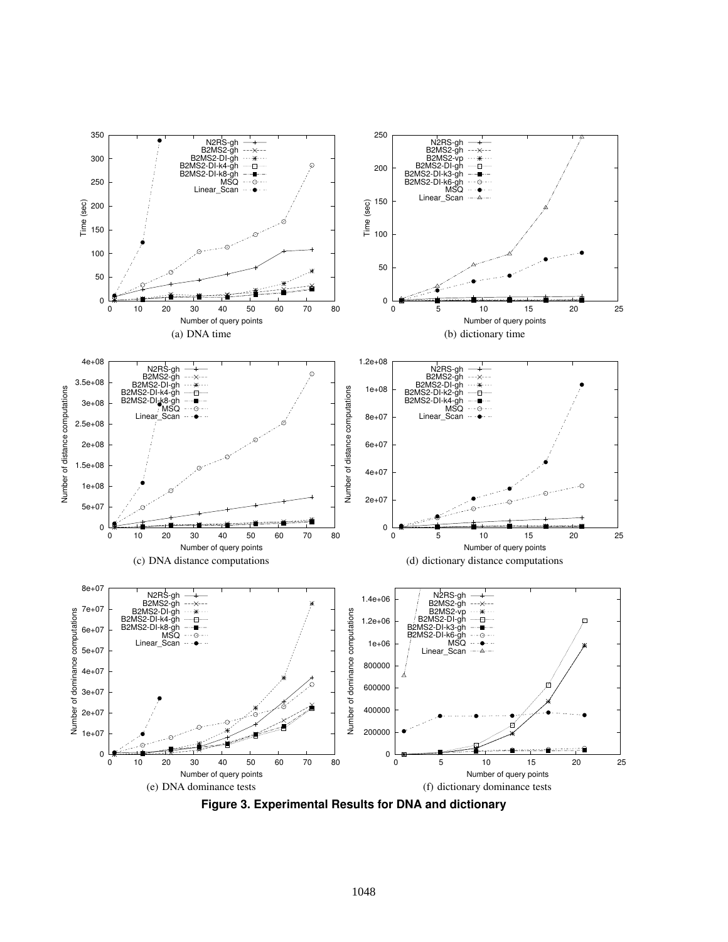

**Figure 3. Experimental Results for DNA and dictionary**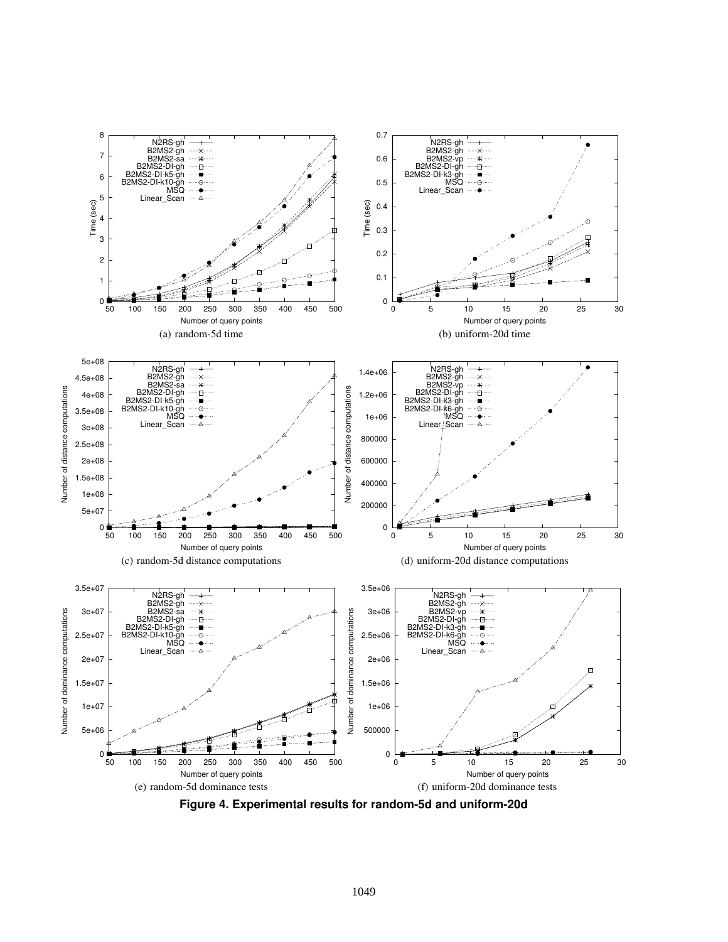

**Figure 4. Experimental results for random-5d and uniform-20d**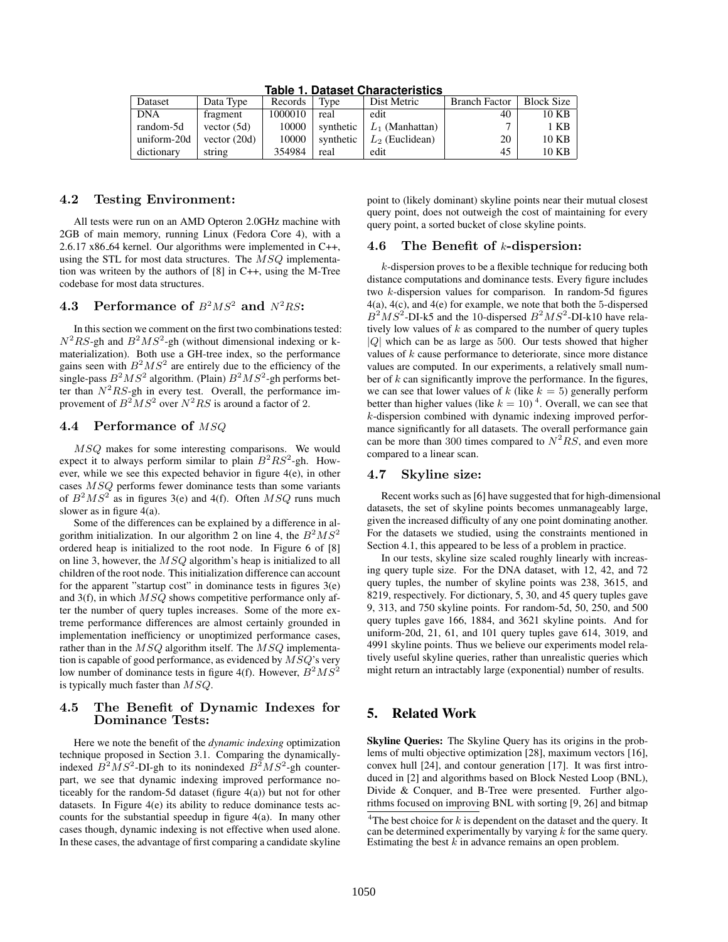| Dataset     | Data Type      | Records | Type      | Dist Metric       | <b>Branch Factor</b> | <b>Block Size</b> |
|-------------|----------------|---------|-----------|-------------------|----------------------|-------------------|
| DNA         | fragment       | 1000010 | real      | edit              | 40                   | 10 KB             |
| random-5d   | vector $(5d)$  | 10000   | synthetic | $L_1$ (Manhattan) | $\mathbf{r}$         | 1 KB              |
| uniform-20d | vector $(20d)$ | 10000   | synthetic | $L_2$ (Euclidean) | 20                   | 10 KB             |
| dictionary  | string         | 354984  | real      | edit              | 45                   | 10 KB             |

**Table 1. Dataset Characteristics**

### 4.2 Testing Environment:

All tests were run on an AMD Opteron 2.0GHz machine with 2GB of main memory, running Linux (Fedora Core 4), with a 2.6.17 x86 64 kernel. Our algorithms were implemented in C++, using the STL for most data structures. The MSQ implementation was writeen by the authors of [8] in C++, using the M-Tree codebase for most data structures.

### **4.3** Performance of  $B^2MS^2$  and  $N^2RS$ :

In this section we comment on the first two combinations tested:  $N^2RS$ -gh and  $B^2MS^2$ -gh (without dimensional indexing or kmaterialization). Both use a GH-tree index, so the performance gains seen with  $B^2MS^2$  are entirely due to the efficiency of the single-pass  $B^2MS^2$  algorithm. (Plain)  $B^2MS^2$ -gh performs better than  $N^2RS$ -gh in every test. Overall, the performance improvement of  $B^2MS^2$  over  $N^2RS$  is around a factor of 2.

#### 4.4 Performance of MSQ

MSQ makes for some interesting comparisons. We would expect it to always perform similar to plain  $B^2RS^2$ -gh. However, while we see this expected behavior in figure 4(e), in other cases MSQ performs fewer dominance tests than some variants of  $B^2MS^2$  as in figures 3(e) and 4(f). Often  $MSQ$  runs much slower as in figure 4(a).

Some of the differences can be explained by a difference in algorithm initialization. In our algorithm 2 on line 4, the  $B^2MS^2$ ordered heap is initialized to the root node. In Figure 6 of [8] on line 3, however, the MSQ algorithm's heap is initialized to all children of the root node. This initialization difference can account for the apparent "startup cost" in dominance tests in figures  $3(e)$ and  $3(f)$ , in which  $MSQ$  shows competitive performance only after the number of query tuples increases. Some of the more extreme performance differences are almost certainly grounded in implementation inefficiency or unoptimized performance cases, rather than in the MSQ algorithm itself. The MSQ implementation is capable of good performance, as evidenced by  $MSQ$ 's very low number of dominance tests in figure 4(f). However,  $B^2MS^2$ is typically much faster than MSQ.

### 4.5 The Benefit of Dynamic Indexes for Dominance Tests:

Here we note the benefit of the *dynamic indexing* optimization technique proposed in Section 3.1. Comparing the dynamicallyindexed  $B^2MS^2$ -DI-gh to its nonindexed  $B^2MS^2$ -gh counterpart, we see that dynamic indexing improved performance noticeably for the random-5d dataset (figure 4(a)) but not for other datasets. In Figure 4(e) its ability to reduce dominance tests accounts for the substantial speedup in figure 4(a). In many other cases though, dynamic indexing is not effective when used alone. In these cases, the advantage of first comparing a candidate skyline point to (likely dominant) skyline points near their mutual closest query point, does not outweigh the cost of maintaining for every query point, a sorted bucket of close skyline points.

#### 4.6 The Benefit of  $k$ -dispersion:

 $k$ -dispersion proves to be a flexible technique for reducing both distance computations and dominance tests. Every figure includes two k-dispersion values for comparison. In random-5d figures 4(a), 4(c), and 4(e) for example, we note that both the 5-dispersed  $B<sup>2</sup>MS<sup>2</sup>$ -DI-k5 and the 10-dispersed  $B<sup>2</sup>MS<sup>2</sup>$ -DI-k10 have relatively low values of  $k$  as compared to the number of query tuples  $|Q|$  which can be as large as 500. Our tests showed that higher values of k cause performance to deteriorate, since more distance values are computed. In our experiments, a relatively small number of  $k$  can significantly improve the performance. In the figures, we can see that lower values of k (like  $k = 5$ ) generally perform better than higher values (like  $k = 10$ )<sup>4</sup>. Overall, we can see that k-dispersion combined with dynamic indexing improved performance significantly for all datasets. The overall performance gain can be more than 300 times compared to  $N^2RS$ , and even more compared to a linear scan.

### 4.7 Skyline size:

Recent works such as [6] have suggested that for high-dimensional datasets, the set of skyline points becomes unmanageably large, given the increased difficulty of any one point dominating another. For the datasets we studied, using the constraints mentioned in Section 4.1, this appeared to be less of a problem in practice.

In our tests, skyline size scaled roughly linearly with increasing query tuple size. For the DNA dataset, with 12, 42, and 72 query tuples, the number of skyline points was 238, 3615, and 8219, respectively. For dictionary, 5, 30, and 45 query tuples gave 9, 313, and 750 skyline points. For random-5d, 50, 250, and 500 query tuples gave 166, 1884, and 3621 skyline points. And for uniform-20d, 21, 61, and 101 query tuples gave 614, 3019, and 4991 skyline points. Thus we believe our experiments model relatively useful skyline queries, rather than unrealistic queries which might return an intractably large (exponential) number of results.

## **5. Related Work**

**Skyline Queries:** The Skyline Query has its origins in the problems of multi objective optimization [28], maximum vectors [16], convex hull [24], and contour generation [17]. It was first introduced in [2] and algorithms based on Block Nested Loop (BNL), Divide & Conquer, and B-Tree were presented. Further algorithms focused on improving BNL with sorting [9, 26] and bitmap

<sup>&</sup>lt;sup>4</sup>The best choice for  $k$  is dependent on the dataset and the query. It can be determined experimentally by varying  $k$  for the same query. Estimating the best  $k$  in advance remains an open problem.